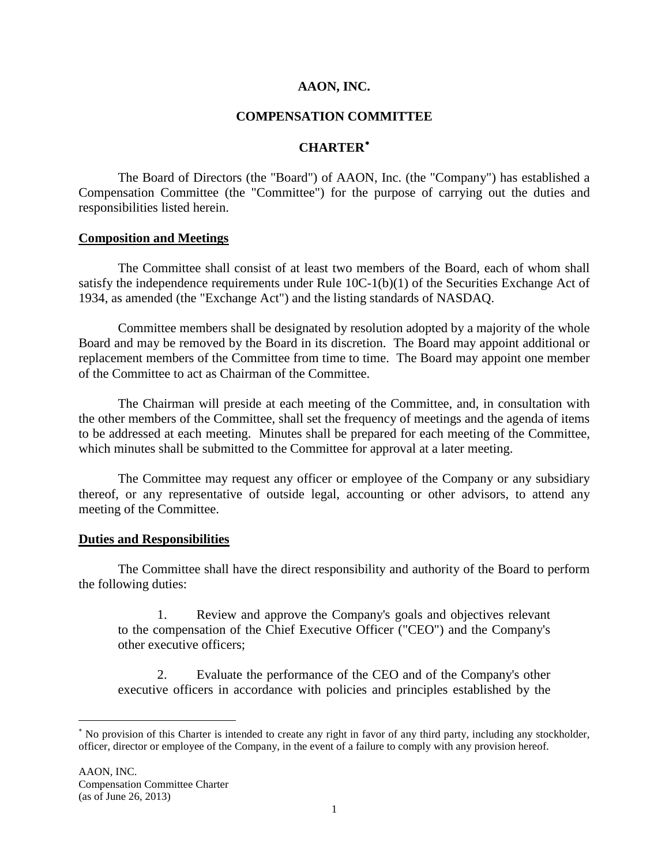### **AAON, INC.**

# **COMPENSATION COMMITTEE**

# **CHARTER**[∗](#page-0-0)

The Board of Directors (the "Board") of AAON, Inc. (the "Company") has established a Compensation Committee (the "Committee") for the purpose of carrying out the duties and responsibilities listed herein.

#### **Composition and Meetings**

The Committee shall consist of at least two members of the Board, each of whom shall satisfy the independence requirements under Rule 10C-1(b)(1) of the Securities Exchange Act of 1934, as amended (the "Exchange Act") and the listing standards of NASDAQ.

Committee members shall be designated by resolution adopted by a majority of the whole Board and may be removed by the Board in its discretion. The Board may appoint additional or replacement members of the Committee from time to time. The Board may appoint one member of the Committee to act as Chairman of the Committee.

The Chairman will preside at each meeting of the Committee, and, in consultation with the other members of the Committee, shall set the frequency of meetings and the agenda of items to be addressed at each meeting. Minutes shall be prepared for each meeting of the Committee, which minutes shall be submitted to the Committee for approval at a later meeting.

The Committee may request any officer or employee of the Company or any subsidiary thereof, or any representative of outside legal, accounting or other advisors, to attend any meeting of the Committee.

#### **Duties and Responsibilities**

The Committee shall have the direct responsibility and authority of the Board to perform the following duties:

1. Review and approve the Company's goals and objectives relevant to the compensation of the Chief Executive Officer ("CEO") and the Company's other executive officers;

2. Evaluate the performance of the CEO and of the Company's other executive officers in accordance with policies and principles established by the

<span id="page-0-0"></span><sup>∗</sup> No provision of this Charter is intended to create any right in favor of any third party, including any stockholder, officer, director or employee of the Company, in the event of a failure to comply with any provision hereof.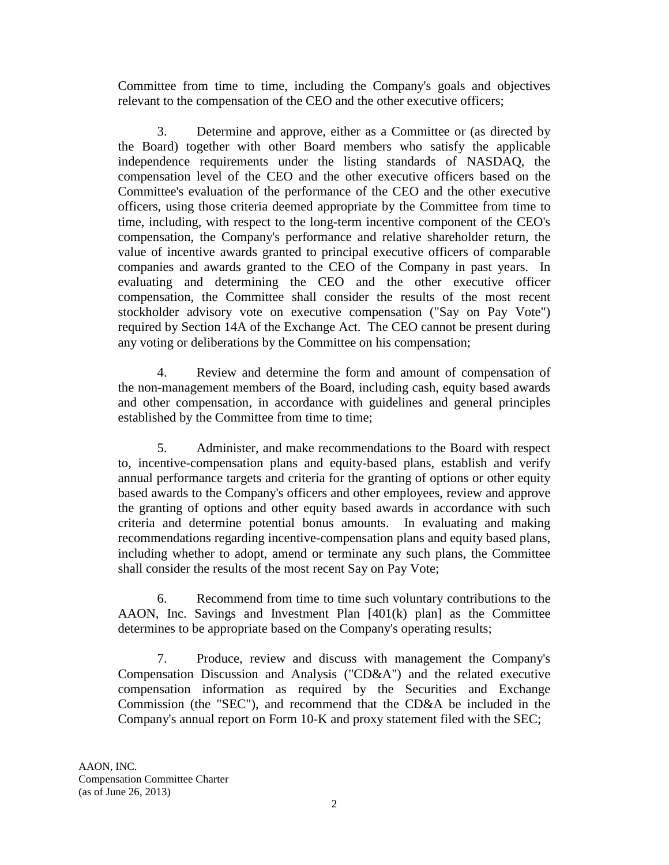Committee from time to time, including the Company's goals and objectives relevant to the compensation of the CEO and the other executive officers;

3. Determine and approve, either as a Committee or (as directed by the Board) together with other Board members who satisfy the applicable independence requirements under the listing standards of NASDAQ, the compensation level of the CEO and the other executive officers based on the Committee's evaluation of the performance of the CEO and the other executive officers, using those criteria deemed appropriate by the Committee from time to time, including, with respect to the long-term incentive component of the CEO's compensation, the Company's performance and relative shareholder return, the value of incentive awards granted to principal executive officers of comparable companies and awards granted to the CEO of the Company in past years. In evaluating and determining the CEO and the other executive officer compensation, the Committee shall consider the results of the most recent stockholder advisory vote on executive compensation ("Say on Pay Vote") required by Section 14A of the Exchange Act. The CEO cannot be present during any voting or deliberations by the Committee on his compensation;

4. Review and determine the form and amount of compensation of the non-management members of the Board, including cash, equity based awards and other compensation, in accordance with guidelines and general principles established by the Committee from time to time;

5. Administer, and make recommendations to the Board with respect to, incentive-compensation plans and equity-based plans, establish and verify annual performance targets and criteria for the granting of options or other equity based awards to the Company's officers and other employees, review and approve the granting of options and other equity based awards in accordance with such criteria and determine potential bonus amounts. In evaluating and making recommendations regarding incentive-compensation plans and equity based plans, including whether to adopt, amend or terminate any such plans, the Committee shall consider the results of the most recent Say on Pay Vote;

6. Recommend from time to time such voluntary contributions to the AAON, Inc. Savings and Investment Plan [401(k) plan] as the Committee determines to be appropriate based on the Company's operating results;

7. Produce, review and discuss with management the Company's Compensation Discussion and Analysis ("CD&A") and the related executive compensation information as required by the Securities and Exchange Commission (the "SEC"), and recommend that the CD&A be included in the Company's annual report on Form 10-K and proxy statement filed with the SEC;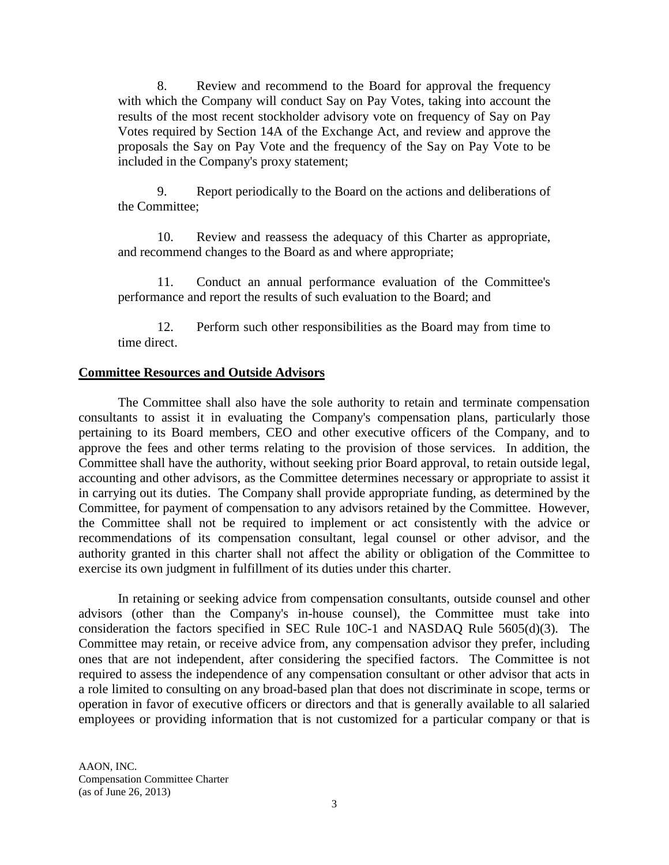8. Review and recommend to the Board for approval the frequency with which the Company will conduct Say on Pay Votes, taking into account the results of the most recent stockholder advisory vote on frequency of Say on Pay Votes required by Section 14A of the Exchange Act, and review and approve the proposals the Say on Pay Vote and the frequency of the Say on Pay Vote to be included in the Company's proxy statement;

9. Report periodically to the Board on the actions and deliberations of the Committee;

10. Review and reassess the adequacy of this Charter as appropriate, and recommend changes to the Board as and where appropriate;

11. Conduct an annual performance evaluation of the Committee's performance and report the results of such evaluation to the Board; and

12. Perform such other responsibilities as the Board may from time to time direct.

# **Committee Resources and Outside Advisors**

The Committee shall also have the sole authority to retain and terminate compensation consultants to assist it in evaluating the Company's compensation plans, particularly those pertaining to its Board members, CEO and other executive officers of the Company, and to approve the fees and other terms relating to the provision of those services. In addition, the Committee shall have the authority, without seeking prior Board approval, to retain outside legal, accounting and other advisors, as the Committee determines necessary or appropriate to assist it in carrying out its duties. The Company shall provide appropriate funding, as determined by the Committee, for payment of compensation to any advisors retained by the Committee. However, the Committee shall not be required to implement or act consistently with the advice or recommendations of its compensation consultant, legal counsel or other advisor, and the authority granted in this charter shall not affect the ability or obligation of the Committee to exercise its own judgment in fulfillment of its duties under this charter.

In retaining or seeking advice from compensation consultants, outside counsel and other advisors (other than the Company's in-house counsel), the Committee must take into consideration the factors specified in SEC Rule 10C-1 and NASDAQ Rule 5605(d)(3). The Committee may retain, or receive advice from, any compensation advisor they prefer, including ones that are not independent, after considering the specified factors. The Committee is not required to assess the independence of any compensation consultant or other advisor that acts in a role limited to consulting on any broad-based plan that does not discriminate in scope, terms or operation in favor of executive officers or directors and that is generally available to all salaried employees or providing information that is not customized for a particular company or that is